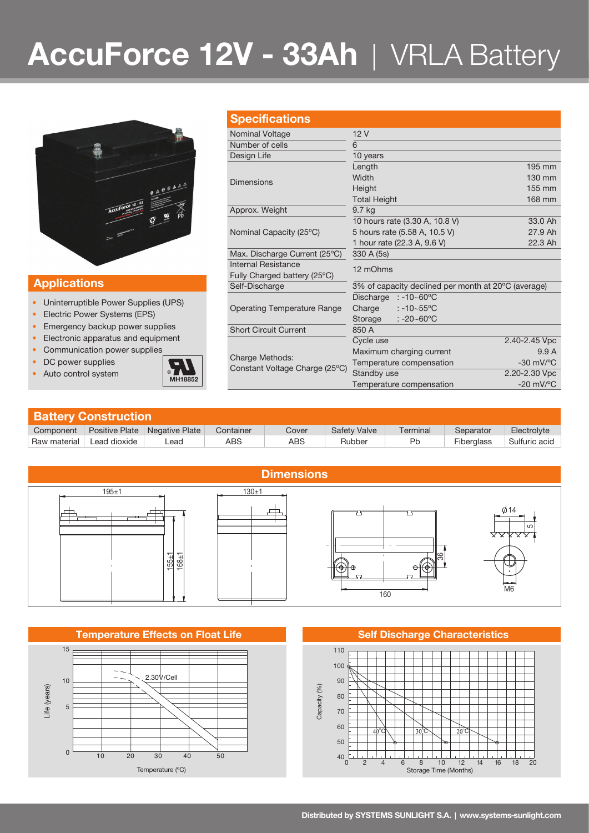# **AccuForce 12V - 33Ah** | VRLA Battery

**Specifications**



### **Applications**

- Uninterruptible Power Supplies (UPS)
- Electric Power Systems (EPS)
- Emergency backup power supplies
- Electronic apparatus and equipment
- Communication power supplies
- DC power supplies
- Auto control system **MH18852**



| <u>UNUUIIUUUUIIU</u>           |                                                     |                        |  |  |  |
|--------------------------------|-----------------------------------------------------|------------------------|--|--|--|
| Nominal Voltage                | 12V                                                 |                        |  |  |  |
| Number of cells                | 6                                                   |                        |  |  |  |
| Design Life                    | 10 years                                            |                        |  |  |  |
| <b>Dimensions</b>              | Length                                              | 195 mm                 |  |  |  |
|                                | Width                                               | 130 mm                 |  |  |  |
|                                | Height                                              | 155 mm                 |  |  |  |
|                                | <b>Total Height</b>                                 | 168 mm                 |  |  |  |
| Approx. Weight                 | 9.7 kg                                              |                        |  |  |  |
|                                | 10 hours rate (3.30 A, 10.8 V)                      | 33.0 Ah                |  |  |  |
| Nominal Capacity (25°C)        | 5 hours rate (5.58 A, 10.5 V)                       | 27.9 Ah                |  |  |  |
|                                | 1 hour rate (22.3 A, 9.6 V)                         | 22.3 Ah                |  |  |  |
| Max. Discharge Current (25°C)  | 330 A (5s)                                          |                        |  |  |  |
| <b>Internal Resistance</b>     | 12 mOhms                                            |                        |  |  |  |
| Fully Charged battery (25°C)   |                                                     |                        |  |  |  |
| Self-Discharge                 | 3% of capacity declined per month at 20°C (average) |                        |  |  |  |
|                                | $: -10 - 60^{\circ}$ C<br>Discharge                 |                        |  |  |  |
| Operating Temperature Range    | $: -10 - 55^{\circ}$ C<br>Charge                    |                        |  |  |  |
|                                | $: -20 - 60^{\circ}$ C<br>Storage                   |                        |  |  |  |
| <b>Short Circuit Current</b>   | 850 A                                               |                        |  |  |  |
|                                | Cycle use                                           | 2.40-2.45 Vpc          |  |  |  |
| Charge Methods:                | Maximum charging current                            | 9.9A                   |  |  |  |
| Constant Voltage Charge (25°C) | Temperature compensation                            | $-30$ mV/ $^{\circ}$ C |  |  |  |
|                                | $C + \frac{1}{2}$                                   | 0.00.0011              |  |  |  |

| <b>Battery Construction</b> |              |                                 |           |            |                     |          |            |               |  |  |
|-----------------------------|--------------|---------------------------------|-----------|------------|---------------------|----------|------------|---------------|--|--|
| Component                   |              | Positive Plate   Negative Plate | Container | Cover      | <b>Safety Valve</b> | Terminal | Separator  | Electrolyte   |  |  |
| Raw material                | Lead dioxide | -ead                            | ABS       | <b>ABS</b> | Rubber              | Pb       | Fiberglass | Sulfuric acid |  |  |



### **Temperature Effects on Float Life Self Discharge Characteristics**



Temperature compensation -20 mV/°C

 $2,20-2.30$  Vpc